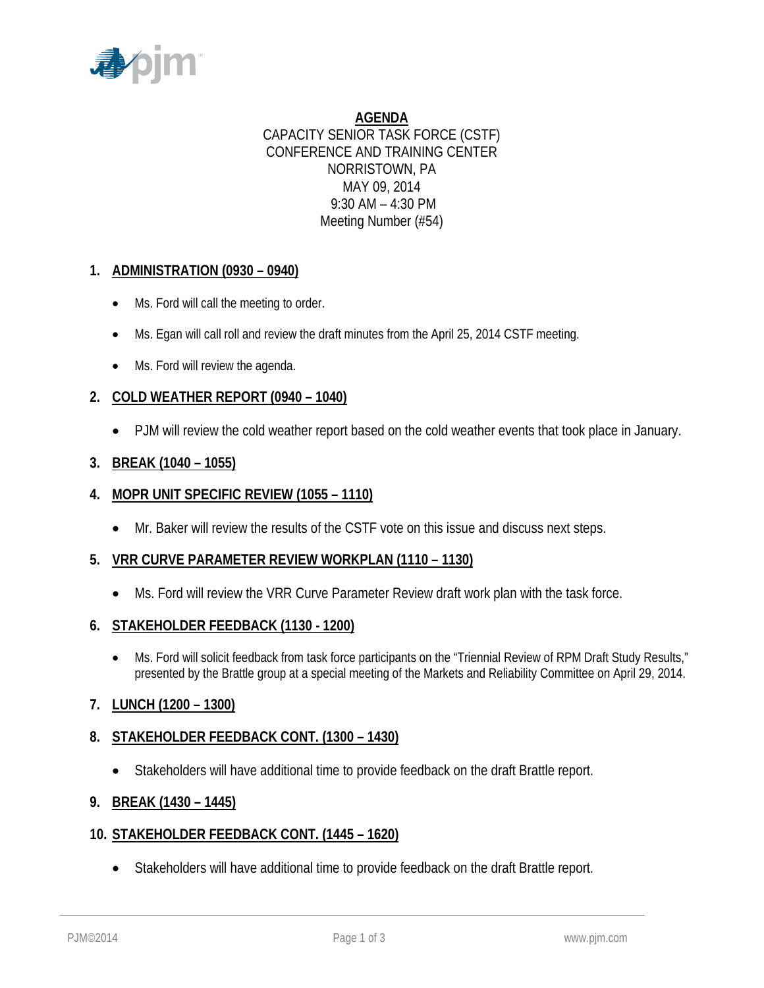

**AGENDA** CAPACITY SENIOR TASK FORCE (CSTF) CONFERENCE AND TRAINING CENTER NORRISTOWN, PA MAY 09, 2014 9:30 AM – 4:30 PM Meeting Number (#54)

# **1. ADMINISTRATION (0930 – 0940)**

- Ms. Ford will call the meeting to order.
- Ms. Egan will call roll and review the draft minutes from the April 25, 2014 CSTF meeting.
- Ms. Ford will review the agenda.

## **2. COLD WEATHER REPORT (0940 – 1040)**

• PJM will review the cold weather report based on the cold weather events that took place in January.

### **3. BREAK (1040 – 1055)**

### **4. MOPR UNIT SPECIFIC REVIEW (1055 – 1110)**

• Mr. Baker will review the results of the CSTF vote on this issue and discuss next steps.

### **5. VRR CURVE PARAMETER REVIEW WORKPLAN (1110 – 1130)**

• Ms. Ford will review the VRR Curve Parameter Review draft work plan with the task force.

### **6. STAKEHOLDER FEEDBACK (1130 - 1200)**

• Ms. Ford will solicit feedback from task force participants on the "Triennial Review of RPM Draft Study Results," presented by the Brattle group at a special meeting of the Markets and Reliability Committee on April 29, 2014.

## **7. LUNCH (1200 – 1300)**

# **8. STAKEHOLDER FEEDBACK CONT. (1300 – 1430)**

• Stakeholders will have additional time to provide feedback on the draft Brattle report.

# **9. BREAK (1430 – 1445)**

# **10. STAKEHOLDER FEEDBACK CONT. (1445 – 1620)**

• Stakeholders will have additional time to provide feedback on the draft Brattle report.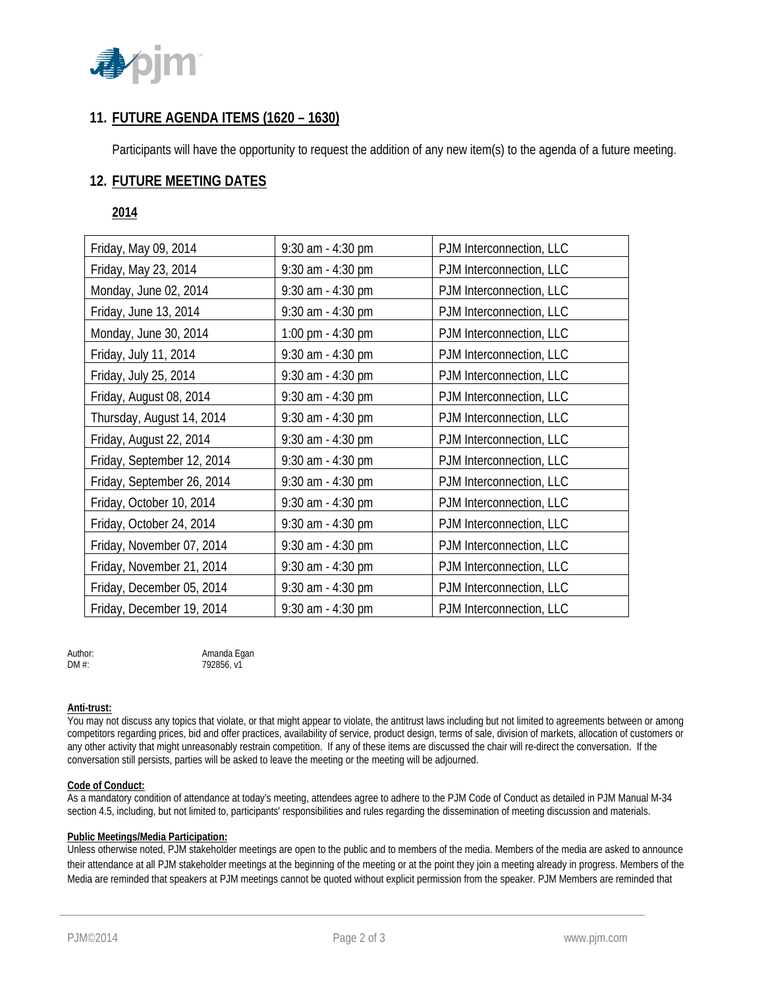

# **11. FUTURE AGENDA ITEMS (1620 – 1630)**

Participants will have the opportunity to request the addition of any new item(s) to the agenda of a future meeting.

## **12. FUTURE MEETING DATES**

### **2014**

| Friday, May 09, 2014       | 9:30 am - 4:30 pm     | PJM Interconnection, LLC |
|----------------------------|-----------------------|--------------------------|
| Friday, May 23, 2014       | $9:30$ am - $4:30$ pm | PJM Interconnection, LLC |
| Monday, June 02, 2014      | $9:30$ am - $4:30$ pm | PJM Interconnection, LLC |
| Friday, June 13, 2014      | $9:30$ am - $4:30$ pm | PJM Interconnection, LLC |
| Monday, June 30, 2014      | 1:00 pm - $4:30$ pm   | PJM Interconnection, LLC |
| Friday, July 11, 2014      | $9:30$ am - $4:30$ pm | PJM Interconnection, LLC |
| Friday, July 25, 2014      | $9:30$ am - $4:30$ pm | PJM Interconnection, LLC |
| Friday, August 08, 2014    | $9:30$ am - $4:30$ pm | PJM Interconnection, LLC |
| Thursday, August 14, 2014  | $9:30$ am - $4:30$ pm | PJM Interconnection, LLC |
| Friday, August 22, 2014    | $9:30$ am - $4:30$ pm | PJM Interconnection, LLC |
| Friday, September 12, 2014 | 9:30 am - 4:30 pm     | PJM Interconnection, LLC |
| Friday, September 26, 2014 | 9:30 am - 4:30 pm     | PJM Interconnection, LLC |
| Friday, October 10, 2014   | $9:30$ am - $4:30$ pm | PJM Interconnection, LLC |
| Friday, October 24, 2014   | $9:30$ am - $4:30$ pm | PJM Interconnection, LLC |
| Friday, November 07, 2014  | $9:30$ am - $4:30$ pm | PJM Interconnection, LLC |
| Friday, November 21, 2014  | $9:30$ am - $4:30$ pm | PJM Interconnection, LLC |
| Friday, December 05, 2014  | 9:30 am - 4:30 pm     | PJM Interconnection, LLC |
| Friday, December 19, 2014  | 9:30 am - 4:30 pm     | PJM Interconnection, LLC |

Author: Amanda Egan<br>
Amanda Egan<br>
792856, v1 792856, v1

#### **Anti-trust:**

You may not discuss any topics that violate, or that might appear to violate, the antitrust laws including but not limited to agreements between or among competitors regarding prices, bid and offer practices, availability of service, product design, terms of sale, division of markets, allocation of customers or any other activity that might unreasonably restrain competition. If any of these items are discussed the chair will re-direct the conversation. If the conversation still persists, parties will be asked to leave the meeting or the meeting will be adjourned.

#### **Code of Conduct:**

As a mandatory condition of attendance at today's meeting, attendees agree to adhere to the PJM Code of Conduct as detailed in PJM Manual M-34 section 4.5, including, but not limited to, participants' responsibilities and rules regarding the dissemination of meeting discussion and materials.

#### **Public Meetings/Media Participation:**

Unless otherwise noted, PJM stakeholder meetings are open to the public and to members of the media. Members of the media are asked to announce their attendance at all PJM stakeholder meetings at the beginning of the meeting or at the point they join a meeting already in progress. Members of the Media are reminded that speakers at PJM meetings cannot be quoted without explicit permission from the speaker. PJM Members are reminded that